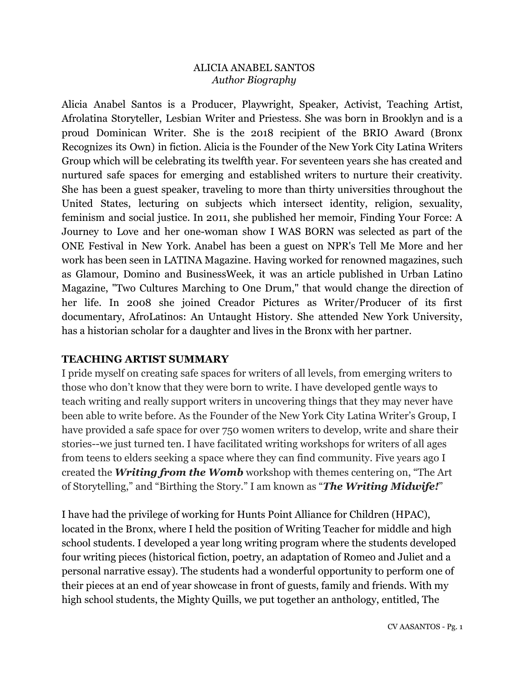### ALICIA ANABEL SANTOS *Author Biography*

Alicia Anabel Santos is a Producer, Playwright, Speaker, Activist, Teaching Artist, Afrolatina Storyteller, Lesbian Writer and Priestess. She was born in Brooklyn and is a proud Dominican Writer. She is the 2018 recipient of the BRIO Award (Bronx Recognizes its Own) in fiction. Alicia is the Founder of the New York City Latina Writers Group which will be celebrating its twelfth year. For seventeen years she has created and nurtured safe spaces for emerging and established writers to nurture their creativity. She has been a guest speaker, traveling to more than thirty universities throughout the United States, lecturing on subjects which intersect identity, religion, sexuality, feminism and social justice. In 2011, she published her memoir, Finding Your Force: A Journey to Love and her one-woman show I WAS BORN was selected as part of the ONE Festival in New York. Anabel has been a guest on NPR's Tell Me More and her work has been seen in LATINA Magazine. Having worked for renowned magazines, such as Glamour, Domino and BusinessWeek, it was an article published in Urban Latino Magazine, "Two Cultures Marching to One Drum," that would change the direction of her life. In 2008 she joined Creador Pictures as Writer/Producer of its first documentary, AfroLatinos: An Untaught History. She attended New York University, has a historian scholar for a daughter and lives in the Bronx with her partner.

## **TEACHING ARTIST SUMMARY**

I pride myself on creating safe spaces for writers of all levels, from emerging writers to those who don't know that they were born to write. I have developed gentle ways to teach writing and really support writers in uncovering things that they may never have been able to write before. As the Founder of the New York City Latina Writer's Group, I have provided a safe space for over 750 women writers to develop, write and share their stories--we just turned ten. I have facilitated writing workshops for writers of all ages from teens to elders seeking a space where they can find community. Five years ago I created the *Writing from the Womb* workshop with themes centering on, "The Art of Storytelling," and "Birthing the Story." I am known as "*The Writing Midwife!*"

I have had the privilege of working for Hunts Point Alliance for Children (HPAC), located in the Bronx, where I held the position of Writing Teacher for middle and high school students. I developed a year long writing program where the students developed four writing pieces (historical fiction, poetry, an adaptation of Romeo and Juliet and a personal narrative essay). The students had a wonderful opportunity to perform one of their pieces at an end of year showcase in front of guests, family and friends. With my high school students, the Mighty Quills, we put together an anthology, entitled, The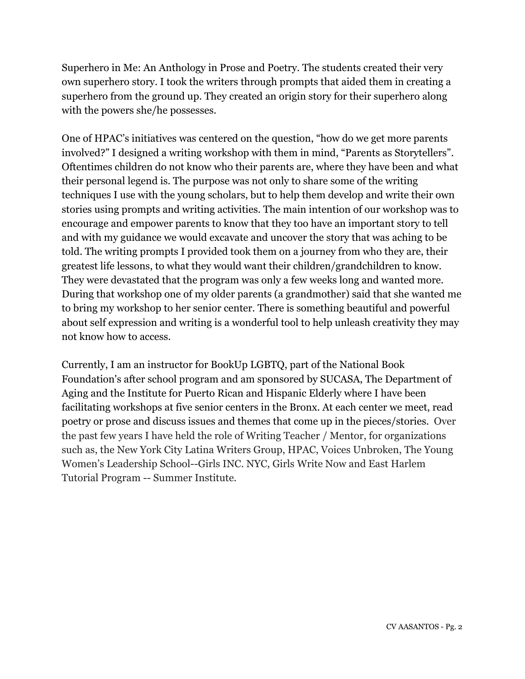Superhero in Me: An Anthology in Prose and Poetry. The students created their very own superhero story. I took the writers through prompts that aided them in creating a superhero from the ground up. They created an origin story for their superhero along with the powers she/he possesses.

One of HPAC's initiatives was centered on the question, "how do we get more parents involved?" I designed a writing workshop with them in mind, "Parents as Storytellers". Oftentimes children do not know who their parents are, where they have been and what their personal legend is. The purpose was not only to share some of the writing techniques I use with the young scholars, but to help them develop and write their own stories using prompts and writing activities. The main intention of our workshop was to encourage and empower parents to know that they too have an important story to tell and with my guidance we would excavate and uncover the story that was aching to be told. The writing prompts I provided took them on a journey from who they are, their greatest life lessons, to what they would want their children/grandchildren to know. They were devastated that the program was only a few weeks long and wanted more. During that workshop one of my older parents (a grandmother) said that she wanted me to bring my workshop to her senior center. There is something beautiful and powerful about self expression and writing is a wonderful tool to help unleash creativity they may not know how to access.

Currently, I am an instructor for BookUp LGBTQ, part of the National Book Foundation's after school program and am sponsored by SUCASA, The Department of Aging and the Institute for Puerto Rican and Hispanic Elderly where I have been facilitating workshops at five senior centers in the Bronx. At each center we meet, read poetry or prose and discuss issues and themes that come up in the pieces/stories. Over the past few years I have held the role of Writing Teacher / Mentor, for organizations such as, the New York City Latina Writers Group, HPAC, Voices Unbroken, The Young Women's Leadership School--Girls INC. NYC, Girls Write Now and East Harlem Tutorial Program -- Summer Institute.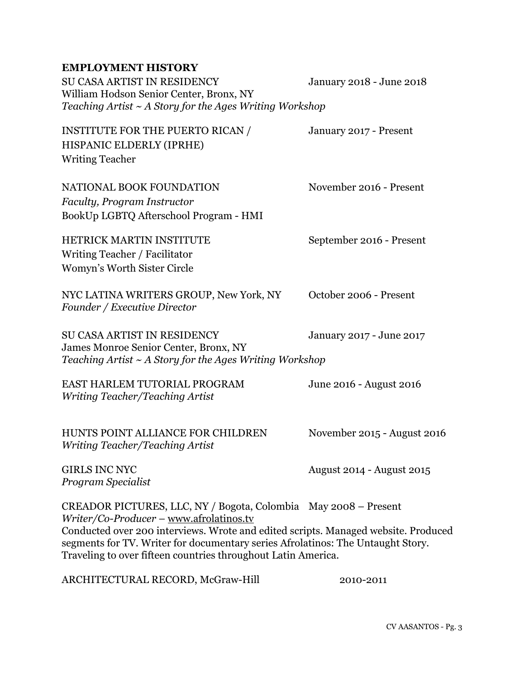# **EMPLOYMENT HISTORY**

| SU CASA ARTIST IN RESIDENCY<br>William Hodson Senior Center, Bronx, NY<br>Teaching Artist $\sim$ A Story for the Ages Writing Workshop                                                                                                                                                                                                               | January 2018 - June 2018    |
|------------------------------------------------------------------------------------------------------------------------------------------------------------------------------------------------------------------------------------------------------------------------------------------------------------------------------------------------------|-----------------------------|
| <b>INSTITUTE FOR THE PUERTO RICAN /</b><br>HISPANIC ELDERLY (IPRHE)<br><b>Writing Teacher</b>                                                                                                                                                                                                                                                        | January 2017 - Present      |
| NATIONAL BOOK FOUNDATION<br>Faculty, Program Instructor<br>BookUp LGBTQ Afterschool Program - HMI                                                                                                                                                                                                                                                    | November 2016 - Present     |
| <b>HETRICK MARTIN INSTITUTE</b><br>Writing Teacher / Facilitator<br>Womyn's Worth Sister Circle                                                                                                                                                                                                                                                      | September 2016 - Present    |
| NYC LATINA WRITERS GROUP, New York, NY<br>Founder / Executive Director                                                                                                                                                                                                                                                                               | October 2006 - Present      |
| <b>SU CASA ARTIST IN RESIDENCY</b><br>James Monroe Senior Center, Bronx, NY<br>Teaching Artist $\sim$ A Story for the Ages Writing Workshop                                                                                                                                                                                                          | January 2017 - June 2017    |
| EAST HARLEM TUTORIAL PROGRAM<br>Writing Teacher/Teaching Artist                                                                                                                                                                                                                                                                                      | June 2016 - August 2016     |
| HUNTS POINT ALLIANCE FOR CHILDREN<br>Writing Teacher/Teaching Artist                                                                                                                                                                                                                                                                                 | November 2015 - August 2016 |
| <b>GIRLS INC NYC</b><br>Program Specialist                                                                                                                                                                                                                                                                                                           | August 2014 - August 2015   |
| CREADOR PICTURES, LLC, NY / Bogota, Colombia May 2008 – Present<br>Writer/Co-Producer - www.afrolatinos.tv<br>Conducted over 200 interviews. Wrote and edited scripts. Managed website. Produced<br>segments for TV. Writer for documentary series Afrolatinos: The Untaught Story.<br>Traveling to over fifteen countries throughout Latin America. |                             |

ARCHITECTURAL RECORD, McGraw-Hill 2010-2011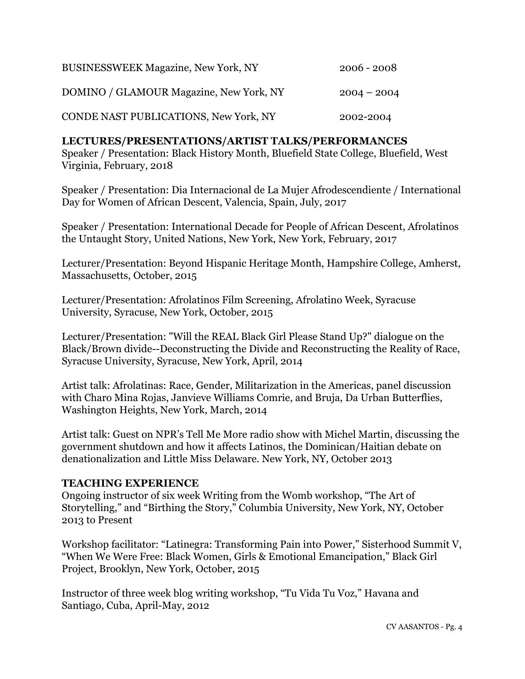| BUSINESSWEEK Magazine, New York, NY     | $2006 - 2008$ |
|-----------------------------------------|---------------|
| DOMINO / GLAMOUR Magazine, New York, NY | $2004 - 2004$ |
| CONDE NAST PUBLICATIONS, New York, NY   | 2002-2004     |

#### **LECTURES/PRESENTATIONS/ARTIST TALKS/PERFORMANCES**

Speaker / Presentation: Black History Month, Bluefield State College, Bluefield, West Virginia, February, 2018

Speaker / Presentation: Dia Internacional de La Mujer Afrodescendiente / International Day for Women of African Descent, Valencia, Spain, July, 2017

Speaker / Presentation: International Decade for People of African Descent, Afrolatinos the Untaught Story, United Nations, New York, New York, February, 2017

Lecturer/Presentation: Beyond Hispanic Heritage Month, Hampshire College, Amherst, Massachusetts, October, 2015

Lecturer/Presentation: Afrolatinos Film Screening, Afrolatino Week, Syracuse University, Syracuse, New York, October, 2015

Lecturer/Presentation: "Will the REAL Black Girl Please Stand Up?" dialogue on the Black/Brown divide--Deconstructing the Divide and Reconstructing the Reality of Race, Syracuse University, Syracuse, New York, April, 2014

Artist talk: Afrolatinas: Race, Gender, Militarization in the Americas, panel discussion with Charo Mina Rojas, Janvieve Williams Comrie, and Bruja, Da Urban Butterflies, Washington Heights, New York, March, 2014

Artist talk: Guest on NPR's Tell Me More radio show with Michel Martin, discussing the government shutdown and how it affects Latinos, the Dominican/Haitian debate on denationalization and Little Miss Delaware. New York, NY, October 2013

#### **TEACHING EXPERIENCE**

Ongoing instructor of six week Writing from the Womb workshop, "The Art of Storytelling," and "Birthing the Story," Columbia University, New York, NY, October 2013 to Present

Workshop facilitator: "Latinegra: Transforming Pain into Power," Sisterhood Summit V, "When We Were Free: Black Women, Girls & Emotional Emancipation," Black Girl Project, Brooklyn, New York, October, 2015

Instructor of three week blog writing workshop, "Tu Vida Tu Voz," Havana and Santiago, Cuba, April-May, 2012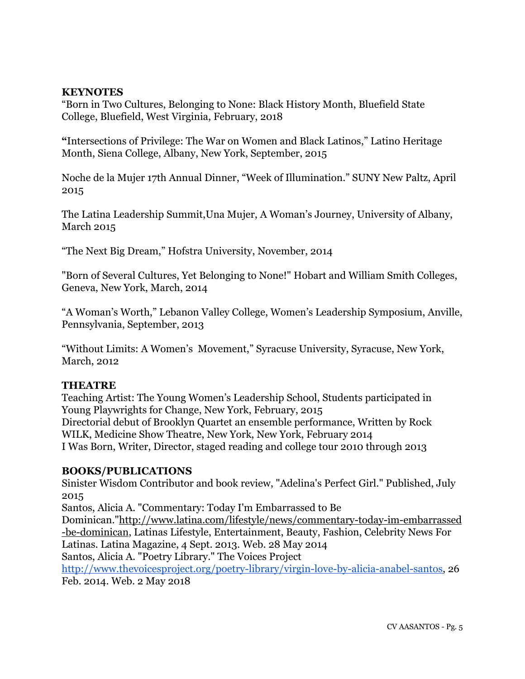### **KEYNOTES**

"Born in Two Cultures, Belonging to None: Black History Month, Bluefield State College, Bluefield, West Virginia, February, 2018

**"**Intersections of Privilege: The War on Women and Black Latinos," Latino Heritage Month, Siena College, Albany, New York, September, 2015

Noche de la Mujer 17th Annual Dinner, "Week of Illumination." SUNY New Paltz, April 2015

The Latina Leadership Summit,Una Mujer, A Woman's Journey, University of Albany, March 2015

"The Next Big Dream," Hofstra University, November, 2014

"Born of Several Cultures, Yet Belonging to None!" Hobart and William Smith Colleges, Geneva, New York, March, 2014

"A Woman's Worth," Lebanon Valley College, Women's Leadership Symposium, Anville, Pennsylvania, September, 2013

"Without Limits: A Women's Movement," Syracuse University, Syracuse, New York, March, 2012

#### **THEATRE**

Teaching Artist: The Young Women's Leadership School, Students participated in Young Playwrights for Change, New York, February, 2015 Directorial debut of Brooklyn Quartet an ensemble performance, Written by Rock WILK, Medicine Show Theatre, New York, New York, February 2014 I Was Born, Writer, Director, staged reading and college tour 2010 through 2013

#### **BOOKS/PUBLICATIONS**

Sinister Wisdom Contributor and book review, "Adelina's Perfect Girl." Published, July 2015

Santos, Alicia A. "Commentary: Today I'm Embarrassed to Be Dominican."[http://www.latina.com/lifestyle/news/commentary-today-im-embarrassed](http://www.latina.com/lifestyle/news/commentary-today-im-embarrassed-be-dominican) [-be-dominican](http://www.latina.com/lifestyle/news/commentary-today-im-embarrassed-be-dominican), Latinas Lifestyle, Entertainment, Beauty, Fashion, Celebrity News For Latinas. Latina Magazine, 4 Sept. 2013. Web. 28 May 2014 Santos, Alicia A. "Poetry Library." The Voices Project [http://www.thevoicesproject.org/poetry-library/virgin-love-by-alicia-anabel-santos,](http://www.thevoicesproject.org/poetry-library/virgin-love-by-alicia-anabel-santos) 26

Feb. 2014. Web. 2 May 2018